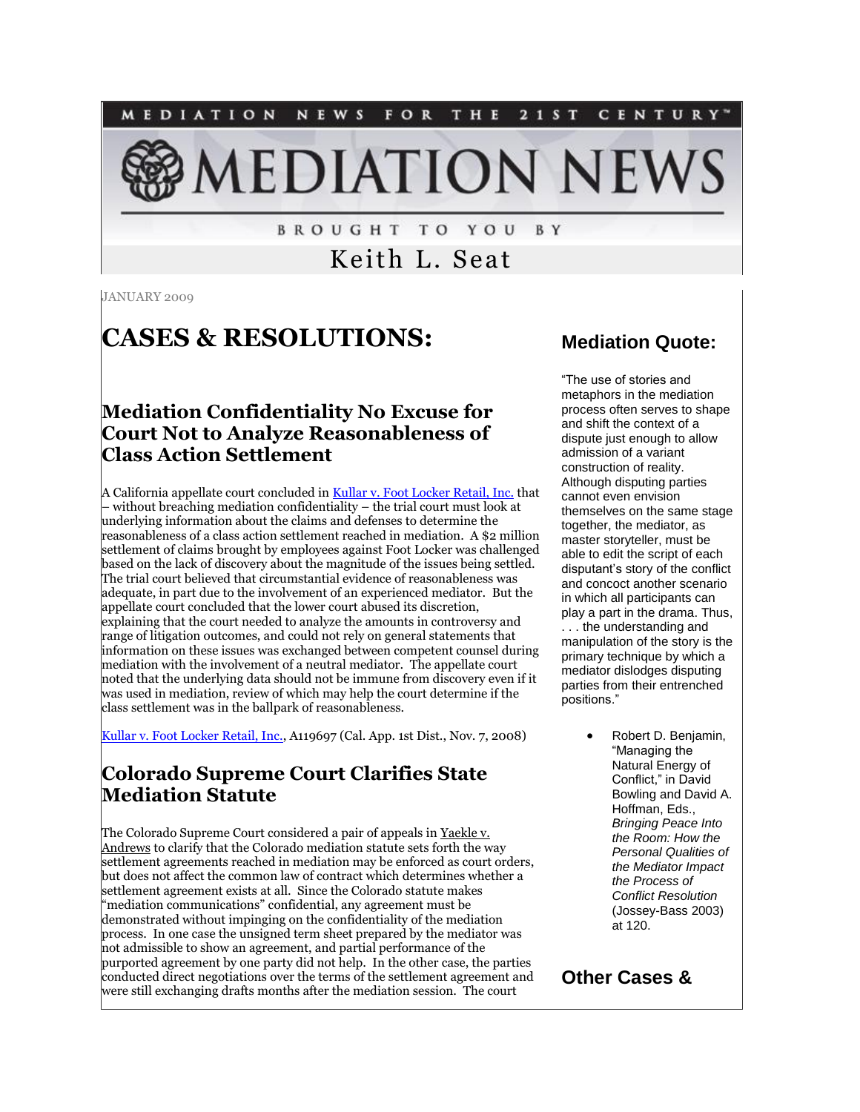

**BROUGHT TO YOU BY** 

Keith L. Seat

JANUARY 2009

# **CASES & RESOLUTIONS:**

#### **Mediation Confidentiality No Excuse for Court Not to Analyze Reasonableness of Class Action Settlement**

A California appellate court concluded in [Kullar v. Foot Locker Retail, Inc.](http://www.courtinfo.ca.gov/opinions/documents/A119697.DOC) that – without breaching mediation confidentiality – the trial court must look at underlying information about the claims and defenses to determine the reasonableness of a class action settlement reached in mediation. A \$2 million settlement of claims brought by employees against Foot Locker was challenged based on the lack of discovery about the magnitude of the issues being settled. The trial court believed that circumstantial evidence of reasonableness was adequate, in part due to the involvement of an experienced mediator. But the appellate court concluded that the lower court abused its discretion, explaining that the court needed to analyze the amounts in controversy and range of litigation outcomes, and could not rely on general statements that information on these issues was exchanged between competent counsel during mediation with the involvement of a neutral mediator. The appellate court noted that the underlying data should not be immune from discovery even if it was used in mediation, review of which may help the court determine if the class settlement was in the ballpark of reasonableness.

[Kullar v. Foot Locker Retail, Inc.,](http://www.courtinfo.ca.gov/opinions/documents/A119697.DOC) A119697 (Cal. App. 1st Dist., Nov. 7, 2008)

#### **Colorado Supreme Court Clarifies State Mediation Statute**

The Colorado Supreme Court considered a pair of appeals in Yaekle v. Andrews to clarify that the Colorado mediation statute sets forth the way settlement agreements reached in mediation may be enforced as court orders, but does not affect the common law of contract which determines whether a settlement agreement exists at all. Since the Colorado statute makes "mediation communications" confidential, any agreement must be demonstrated without impinging on the confidentiality of the mediation process. In one case the unsigned term sheet prepared by the mediator was not admissible to show an agreement, and partial performance of the purported agreement by one party did not help. In the other case, the parties conducted direct negotiations over the terms of the settlement agreement and were still exchanging drafts months after the mediation session. The court

#### **Mediation Quote:**

"The use of stories and metaphors in the mediation process often serves to shape and shift the context of a dispute just enough to allow admission of a variant construction of reality. Although disputing parties cannot even envision themselves on the same stage together, the mediator, as master storyteller, must be able to edit the script of each disputant's story of the conflict and concoct another scenario in which all participants can play a part in the drama. Thus, . . . the understanding and manipulation of the story is the primary technique by which a mediator dislodges disputing parties from their entrenched positions."

> Robert D. Benjamin, "Managing the Natural Energy of Conflict," in David Bowling and David A. Hoffman, Eds., *Bringing Peace Into the Room: How the Personal Qualities of the Mediator Impact the Process of Conflict Resolution* (Jossey-Bass 2003) at 120.

#### **Other Cases &**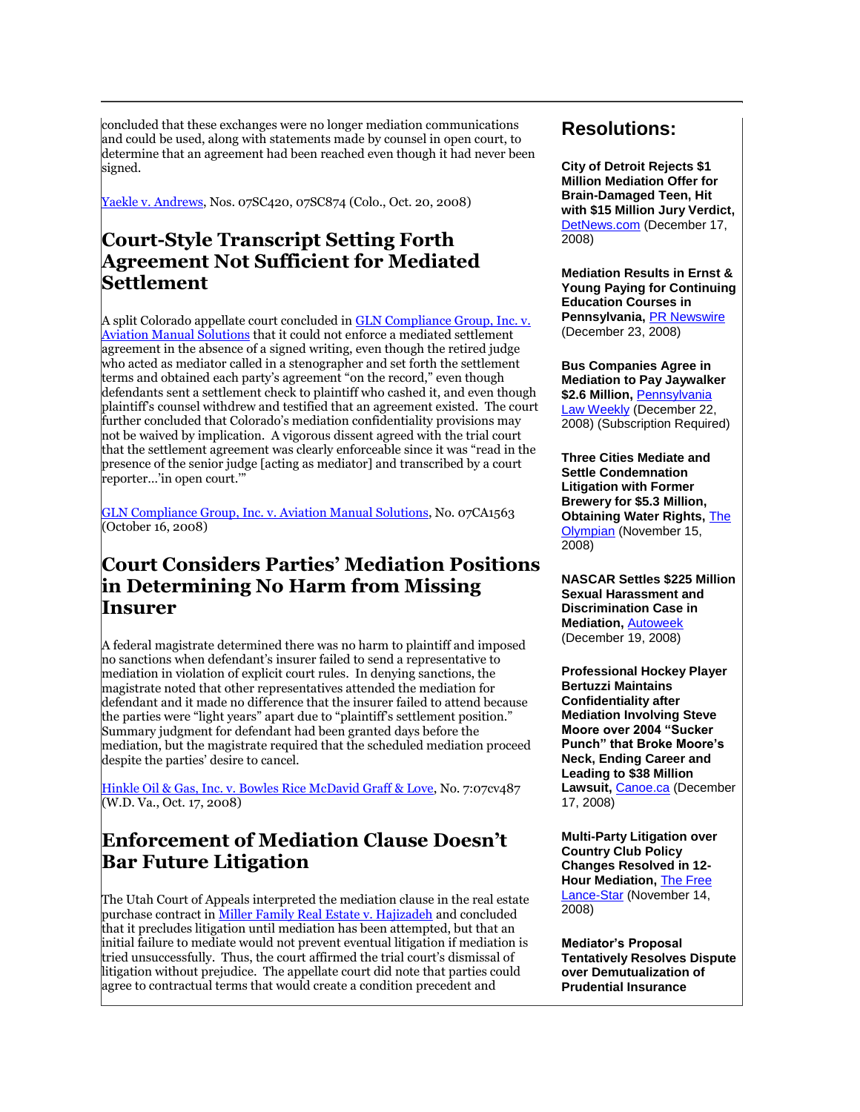concluded that these exchanges were no longer mediation communications and could be used, along with statements made by counsel in open court, to determine that an agreement had been reached even though it had never been signed.

[Yaekle v. Andrews,](http://www.cobar.org/opinions/opinion.cfm?opinionid=6860&courtid=2) Nos. 07SC420, 07SC874 (Colo., Oct. 20, 2008)

#### **Court-Style Transcript Setting Forth Agreement Not Sufficient for Mediated Settlement**

A split Colorado appellate court concluded in **GLN Compliance Group**, Inc. v. [Aviation Manual Solutions](http://www.cobar.org/opinions/opinion.cfm?opinionid=6852&courtid=1) that it could not enforce a mediated settlement agreement in the absence of a signed writing, even though the retired judge who acted as mediator called in a stenographer and set forth the settlement terms and obtained each party's agreement "on the record," even though defendants sent a settlement check to plaintiff who cashed it, and even though plaintiff's counsel withdrew and testified that an agreement existed. The court further concluded that Colorado's mediation confidentiality provisions may not be waived by implication. A vigorous dissent agreed with the trial court that the settlement agreement was clearly enforceable since it was "read in the presence of the senior judge [acting as mediator] and transcribed by a court reporter…'in open court.'"

[GLN Compliance Group, Inc. v. Aviation Manual Solutions,](http://www.cobar.org/opinions/opinion.cfm?opinionid=6852&courtid=1) No. 07CA1563 (October 16, 2008)

#### **Court Considers Parties' Mediation Positions in Determining No Harm from Missing Insurer**

A federal magistrate determined there was no harm to plaintiff and imposed no sanctions when defendant's insurer failed to send a representative to mediation in violation of explicit court rules. In denying sanctions, the magistrate noted that other representatives attended the mediation for defendant and it made no difference that the insurer failed to attend because the parties were "light years" apart due to "plaintiff's settlement position." Summary judgment for defendant had been granted days before the mediation, but the magistrate required that the scheduled mediation proceed despite the parties' desire to cancel.

[Hinkle Oil & Gas, Inc. v. Bowles Rice McDavid Graff & Love,](http://tinyurl.com/8c22cc) No. 7:07cv487 (W.D. Va., Oct. 17, 2008)

#### **Enforcement of Mediation Clause Doesn't Bar Future Litigation**

The Utah Court of Appeals interpreted the mediation clause in the real estate purchase contract in *Miller Family Real Estate v. Hajizadeh* and concluded that it precludes litigation until mediation has been attempted, but that an initial failure to mediate would not prevent eventual litigation if mediation is tried unsuccessfully. Thus, the court affirmed the trial court's dismissal of litigation without prejudice. The appellate court did note that parties could agree to contractual terms that would create a condition precedent and

#### **Resolutions:**

**City of Detroit Rejects \$1 Million Mediation Offer for Brain-Damaged Teen, Hit with \$15 Million Jury Verdict,**  [DetNews.com](http://tinyurl.com/8rtwwg) (December 17, 2008)

**Mediation Results in Ernst & Young Paying for Continuing Education Courses in Pennsylvania,** [PR Newswire](http://tinyurl.com/8kg8gs) (December 23, 2008)

**Bus Companies Agree in Mediation to Pay Jaywalker**  \$2.6 Million, Pennsylvania [Law Weekly](http://tinyurl.com/8l8qyx) (December 22, 2008) (Subscription Required)

**Three Cities Mediate and Settle Condemnation Litigation with Former Brewery for \$5.3 Million, Obtaining Water Rights,** [The](http://www.theolympian.com/670/story/662610.html)  [Olympian](http://www.theolympian.com/670/story/662610.html) (November 15, 2008)

**NASCAR Settles \$225 Million Sexual Harassment and Discrimination Case in Mediation,** [Autoweek](http://www.autoweek.com/article/20081219/FREE/812199985) (December 19, 2008)

**Professional Hockey Player Bertuzzi Maintains Confidentiality after Mediation Involving Steve Moore over 2004 "Sucker Punch" that Broke Moore's Neck, Ending Career and Leading to \$38 Million Lawsuit,** [Canoe.ca](http://calsun.canoe.ca/favicon.ico) (December 17, 2008)

**Multi-Party Litigation over Country Club Policy Changes Resolved in 12- Hour Mediation,** [The Free](http://fredericksburg.com/News/FLS/2008/112008/11142008/425010)  [Lance-Star](http://fredericksburg.com/News/FLS/2008/112008/11142008/425010) (November 14, 2008)

**Mediator's Proposal Tentatively Resolves Dispute over Demutualization of Prudential Insurance**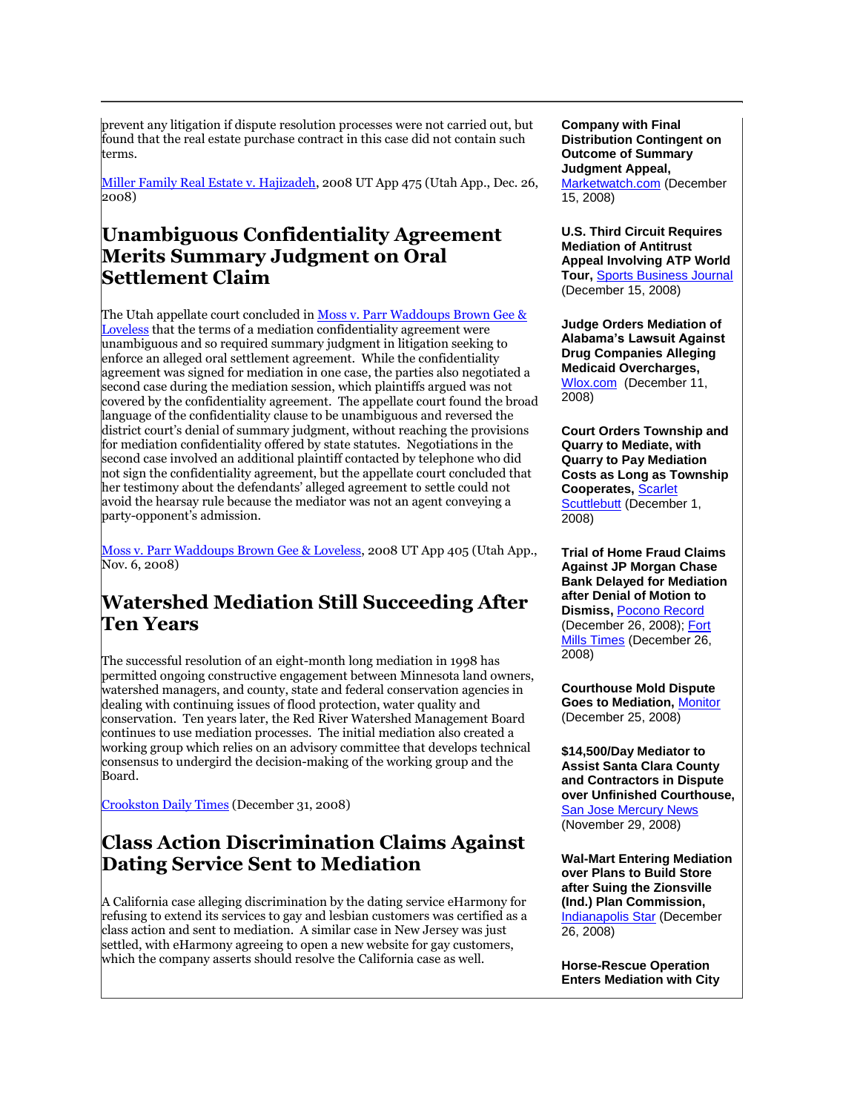prevent any litigation if dispute resolution processes were not carried out, but found that the real estate purchase contract in this case did not contain such terms.

[Miller Family Real Estate v. Hajizadeh,](http://www.utcourts.gov/opinions/appopin/miller122608.pdf) 2008 UT App 475 (Utah App., Dec. 26, 2008)

#### **Unambiguous Confidentiality Agreement Merits Summary Judgment on Oral Settlement Claim**

The Utah appellate court concluded in Moss v. Parr Waddoups Brown Gee & [Loveless](http://www.utcourts.gov/opinions/appopin/moss110608.pdf) that the terms of a mediation confidentiality agreement were unambiguous and so required summary judgment in litigation seeking to enforce an alleged oral settlement agreement. While the confidentiality agreement was signed for mediation in one case, the parties also negotiated a second case during the mediation session, which plaintiffs argued was not covered by the confidentiality agreement. The appellate court found the broad language of the confidentiality clause to be unambiguous and reversed the district court's denial of summary judgment, without reaching the provisions for mediation confidentiality offered by state statutes. Negotiations in the second case involved an additional plaintiff contacted by telephone who did not sign the confidentiality agreement, but the appellate court concluded that her testimony about the defendants' alleged agreement to settle could not avoid the hearsay rule because the mediator was not an agent conveying a party-opponent's admission.

[Moss v. Parr Waddoups Brown Gee & Loveless,](http://www.utcourts.gov/opinions/appopin/moss110608.pdf) 2008 UT App 405 (Utah App., Nov. 6, 2008)

#### **Watershed Mediation Still Succeeding After Ten Years**

The successful resolution of an eight-month long mediation in 1998 has permitted ongoing constructive engagement between Minnesota land owners, watershed managers, and county, state and federal conservation agencies in dealing with continuing issues of flood protection, water quality and conservation. Ten years later, the Red River Watershed Management Board continues to use mediation processes. The initial mediation also created a working group which relies on an advisory committee that develops technical consensus to undergird the decision-making of the working group and the Board.

[Crookston Daily Times](http://tinyurl.com/74to2u) (December 31, 2008)

#### **Class Action Discrimination Claims Against Dating Service Sent to Mediation**

A California case alleging discrimination by the dating service eHarmony for refusing to extend its services to gay and lesbian customers was certified as a class action and sent to mediation. A similar case in New Jersey was just settled, with eHarmony agreeing to open a new website for gay customers, which the company asserts should resolve the California case as well.

**Company with Final Distribution Contingent on Outcome of Summary Judgment Appeal,** 

[Marketwatch.com](http://tinyurl.com/a7vcaa) (December 15, 2008)

**U.S. Third Circuit Requires Mediation of Antitrust Appeal Involving ATP World Tour,** [Sports Business Journal](http://www.sportsbusinessjournal.com/article/60955) (December 15, 2008)

**Judge Orders Mediation of Alabama's Lawsuit Against Drug Companies Alleging Medicaid Overcharges,**  [Wlox.com](http://www.wlox.com/Global/story.asp?S=9505076) (December 11, 2008)

**Court Orders Township and Quarry to Mediate, with Quarry to Pay Mediation Costs as Long as Township Cooperates,** [Scarlet](http://www.mycentraljersey.com/article/20081201/NEWS/81201023/-1/newsfront)  [Scuttlebutt](http://www.mycentraljersey.com/article/20081201/NEWS/81201023/-1/newsfront) (December 1, 2008)

**Trial of Home Fraud Claims Against JP Morgan Chase Bank Delayed for Mediation after Denial of Motion to Dismiss,** [Pocono Record](http://tinyurl.com/7touh5) (December 26, 2008); [Fort](http://www.fortmilltimes.com/124/story/402955.html)  [Mills Times](http://www.fortmilltimes.com/124/story/402955.html) (December 26, 2008)

**Courthouse Mold Dispute Goes to Mediation,** [Monitor](http://www.themonitor.com/articles/mediator_21387___article.html/agreement_mold.html) (December 25, 2008)

**\$14,500/Day Mediator to Assist Santa Clara County and Contractors in Dispute over Unfinished Courthouse,**  [San Jose Mercury News](http://www.mercurynews.com/localnewsheadlines/ci_11104835?nclick_check=1) (November 29, 2008)

**Wal-Mart Entering Mediation over Plans to Build Store after Suing the Zionsville (Ind.) Plan Commission,**  [Indianapolis Star](http://www.indystar.com/article/20081229/LOCAL0202/81229042/1003/BUSINESS) (December 26, 2008)

**Horse-Rescue Operation Enters Mediation with City**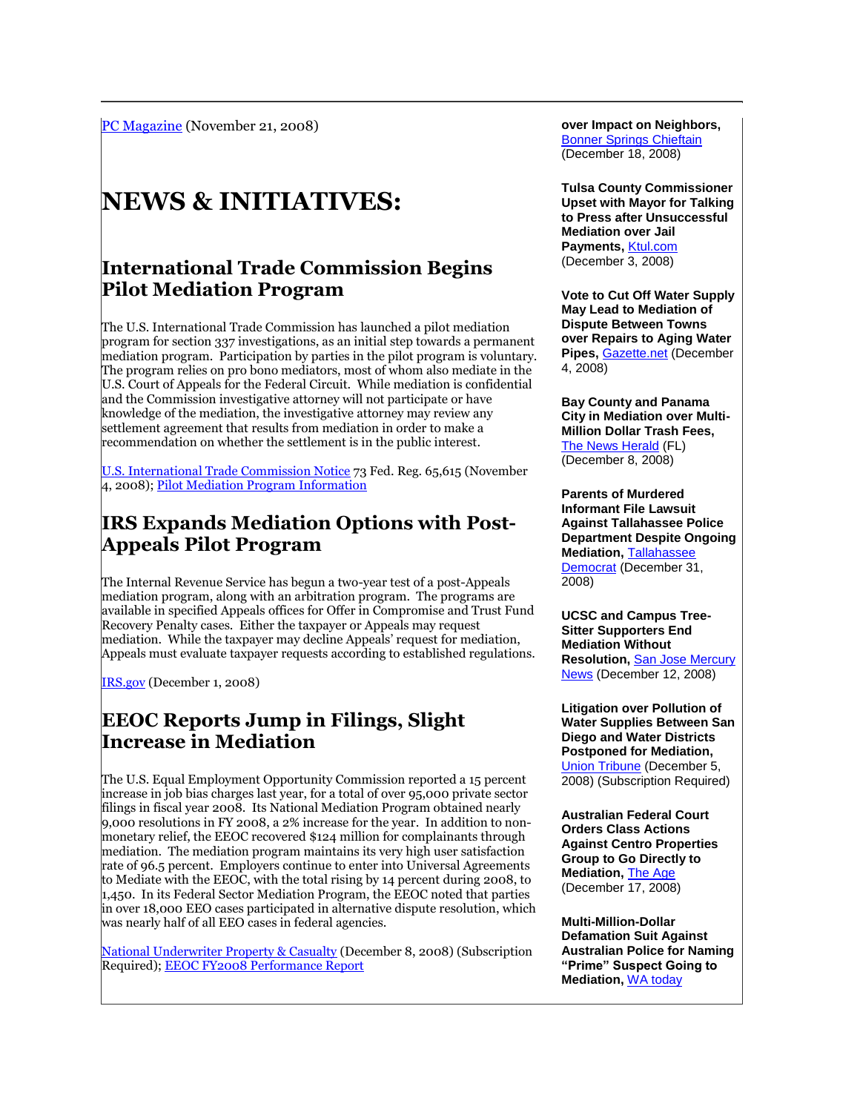# **NEWS & INITIATIVES:**

#### **International Trade Commission Begins Pilot Mediation Program**

The U.S. International Trade Commission has launched a pilot mediation program for section 337 investigations, as an initial step towards a permanent mediation program. Participation by parties in the pilot program is voluntary. The program relies on pro bono mediators, most of whom also mediate in the U.S. Court of Appeals for the Federal Circuit. While mediation is confidential and the Commission investigative attorney will not participate or have knowledge of the mediation, the investigative attorney may review any settlement agreement that results from mediation in order to make a recommendation on whether the settlement is in the public interest.

[U.S. International Trade Commission Notice](http://www.usitc.gov/trade_remedy/int_prop/E8-26196.pdf) 73 Fed. Reg. 65,615 (November 4, 2008); [Pilot Mediation Program Information](http://www.usitc.gov/trade_remedy/int_prop/pilotmediation.htm)

#### **IRS Expands Mediation Options with Post-Appeals Pilot Program**

The Internal Revenue Service has begun a two-year test of a post-Appeals mediation program, along with an arbitration program. The programs are available in specified Appeals offices for Offer in Compromise and Trust Fund Recovery Penalty cases. Either the taxpayer or Appeals may request mediation. While the taxpayer may decline Appeals' request for mediation, Appeals must evaluate taxpayer requests according to established regulations.

[IRS.gov](http://www.irs.gov/newsroom/article/0,,id=200750,00.html) (December 1, 2008)

#### **EEOC Reports Jump in Filings, Slight Increase in Mediation**

The U.S. Equal Employment Opportunity Commission reported a 15 percent increase in job bias charges last year, for a total of over 95,000 private sector filings in fiscal year 2008. Its National Mediation Program obtained nearly 9,000 resolutions in FY 2008, a 2% increase for the year. In addition to nonmonetary relief, the EEOC recovered \$124 million for complainants through mediation. The mediation program maintains its very high user satisfaction rate of 96.5 percent. Employers continue to enter into Universal Agreements to Mediate with the EEOC, with the total rising by 14 percent during 2008, to 1,450. In its Federal Sector Mediation Program, the EEOC noted that parties in over 18,000 EEO cases participated in alternative dispute resolution, which was nearly half of all EEO cases in federal agencies.

[National Underwriter Property & Casualty](http://tinyurl.com/9ogoqt) (December 8, 2008) (Subscription Required)[; EEOC FY2008 Performance Report](http://www.eeoc.gov/abouteeoc/plan/par/2008/par2008.pdf)

**over Impact on Neighbors, [Bonner Springs Chieftain](http://www.bonnersprings.com/favicon.ico)** (December 18, 2008)

**Tulsa County Commissioner Upset with Mayor for Talking to Press after Unsuccessful Mediation over Jail Payments,** [Ktul.com](http://www.ktul.com/news/stories/1208/574853.html) (December 3, 2008)

**Vote to Cut Off Water Supply May Lead to Mediation of Dispute Between Towns over Repairs to Aging Water Pipes,** [Gazette.net](http://www.gazette.net/stories/12042008/brunnew180120_32473.shtml) (December 4, 2008)

**Bay County and Panama City in Mediation over Multi-Million Dollar Trash Fees,**  [The News Herald](http://www.newsherald.com/news/city_70220___article.html/county_panama.html) (FL) (December 8, 2008)

**Parents of Murdered Informant File Lawsuit Against Tallahassee Police Department Despite Ongoing Mediation,** [Tallahassee](http://www.tallahassee.com/article/20081231/NEWS01/812310362)  [Democrat](http://www.tallahassee.com/article/20081231/NEWS01/812310362) (December 31, 2008)

**UCSC and Campus Tree-Sitter Supporters End Mediation Without Resolution,** [San Jose Mercury](http://www.mercurynews.com/centralcoast/ci_11204205)  [News](http://www.mercurynews.com/centralcoast/ci_11204205) (December 12, 2008)

**Litigation over Pollution of Water Supplies Between San Diego and Water Districts Postponed for Mediation,**  [Union Tribune](http://tinyurl.com/7srzvh) (December 5, 2008) (Subscription Required)

**Australian Federal Court Orders Class Actions Against Centro Properties Group to Go Directly to Mediation,** [The Age](http://www.theage.com.au/favicon.ico) (December 17, 2008)

**Multi-Million-Dollar Defamation Suit Against Australian Police for Naming "Prime" Suspect Going to Mediation,** [WA today](http://tinyurl.com/677vdn)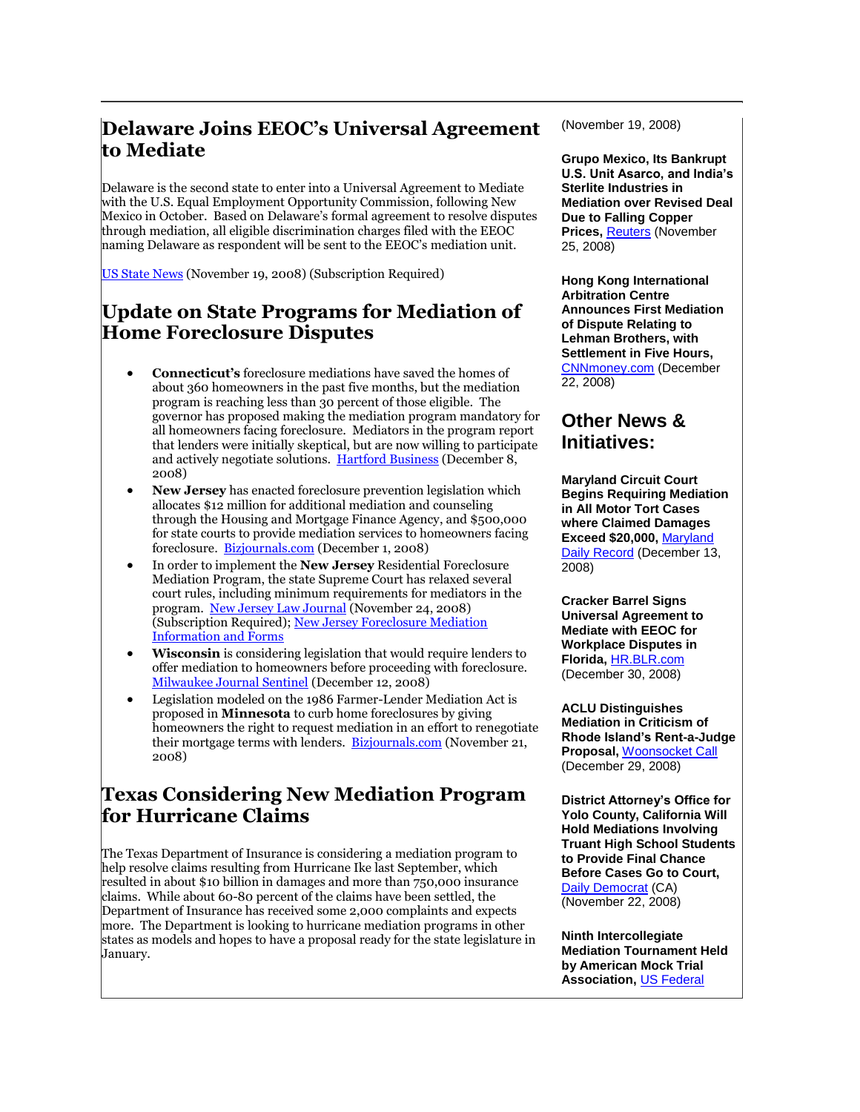### **Delaware Joins EEOC's Universal Agreement to Mediate**

Delaware is the second state to enter into a Universal Agreement to Mediate with the U.S. Equal Employment Opportunity Commission, following New Mexico in October. Based on Delaware's formal agreement to resolve disputes through mediation, all eligible discrimination charges filed with the EEOC naming Delaware as respondent will be sent to the EEOC's mediation unit.

[US State News](http://tinyurl.com/5utcpz) (November 19, 2008) (Subscription Required)

#### **Update on State Programs for Mediation of Home Foreclosure Disputes**

- **Connecticut's** foreclosure mediations have saved the homes of about 360 homeowners in the past five months, but the mediation program is reaching less than 30 percent of those eligible. The governor has proposed making the mediation program mandatory for all homeowners facing foreclosure. Mediators in the program report that lenders were initially skeptical, but are now willing to participate and actively negotiate solutions. [Hartford Business](http://www.hartfordbusiness.com/news7367.html) (December 8, 2008)
- **New Jersey** has enacted foreclosure prevention legislation which allocates \$12 million for additional mediation and counseling through the Housing and Mortgage Finance Agency, and \$500,000 for state courts to provide mediation services to homeowners facing foreclosure. [Bizjournals.com](http://www.bizjournals.com/philadelphia/stories/2008/12/01/daily7.html) (December 1, 2008)
- In order to implement the **New Jersey** Residential Foreclosure Mediation Program, the state Supreme Court has relaxed several court rules, including minimum requirements for mediators in the program. [New Jersey Law Journal](http://tinyurl.com/6cfc82) (November 24, 2008) (Subscription Required)[; New Jersey Foreclosure Mediation](http://www.judiciary.state.nj.us/civil/foreclosure/mediation.html)  [Information and Forms](http://www.judiciary.state.nj.us/civil/foreclosure/mediation.html)
- **Wisconsin** is considering legislation that would require lenders to offer mediation to homeowners before proceeding with foreclosure. [Milwaukee Journal Sentinel](http://www.jsonline.com/business/36025844.html) (December 12, 2008)
- Legislation modeled on the 1986 Farmer-Lender Mediation Act is proposed in **Minnesota** to curb home foreclosures by giving homeowners the right to request mediation in an effort to renegotiate their mortgage terms with lenders. [Bizjournals.com](http://www.bizjournals.com/twincities/stories/2008/11/17/daily42.html?t=printable) (November 21, 2008)

#### **Texas Considering New Mediation Program for Hurricane Claims**

The Texas Department of Insurance is considering a mediation program to help resolve claims resulting from Hurricane Ike last September, which resulted in about \$10 billion in damages and more than 750,000 insurance claims. While about 60-80 percent of the claims have been settled, the Department of Insurance has received some 2,000 complaints and expects more. The Department is looking to hurricane mediation programs in other states as models and hopes to have a proposal ready for the state legislature in January.

(November 19, 2008)

**Grupo Mexico, Its Bankrupt U.S. Unit Asarco, and India's Sterlite Industries in Mediation over Revised Deal Due to Falling Copper Prices, [Reuters](http://www.reuters.com/article/marketsNews/idUSN2529098620081125) (November** 25, 2008)

**Hong Kong International Arbitration Centre Announces First Mediation of Dispute Relating to Lehman Brothers, with Settlement in Five Hours,**  [CNNmoney.com](http://tinyurl.com/9hwtsd) (December 22, 2008)

#### **Other News & Initiatives:**

**Maryland Circuit Court Begins Requiring Mediation in All Motor Tort Cases where Claimed Damages Exceed \$20,000,** [Maryland](http://tinyurl.com/7qq687)  [Daily Record](http://tinyurl.com/7qq687) (December 13, 2008)

**Cracker Barrel Signs Universal Agreement to Mediate with EEOC for Workplace Disputes in Florida,** [HR.BLR.com](http://hr.blr.com/news.aspx?id=79386) (December 30, 2008)

**ACLU Distinguishes Mediation in Criticism of Rhode Island's Rent-a-Judge Proposal,** [Woonsocket Call](http://www.woonsocketcall.com/content/view/67708/1) (December 29, 2008)

**District Attorney's Office for Yolo County, California Will Hold Mediations Involving Truant High School Students to Provide Final Chance Before Cases Go to Court,**  [Daily Democrat](http://www.dailydemocrat.com/news/ci_11050374) (CA) (November 22, 2008)

**Ninth Intercollegiate Mediation Tournament Held by American Mock Trial Association,** [US Federal](http://tinyurl.com/6l4dzt)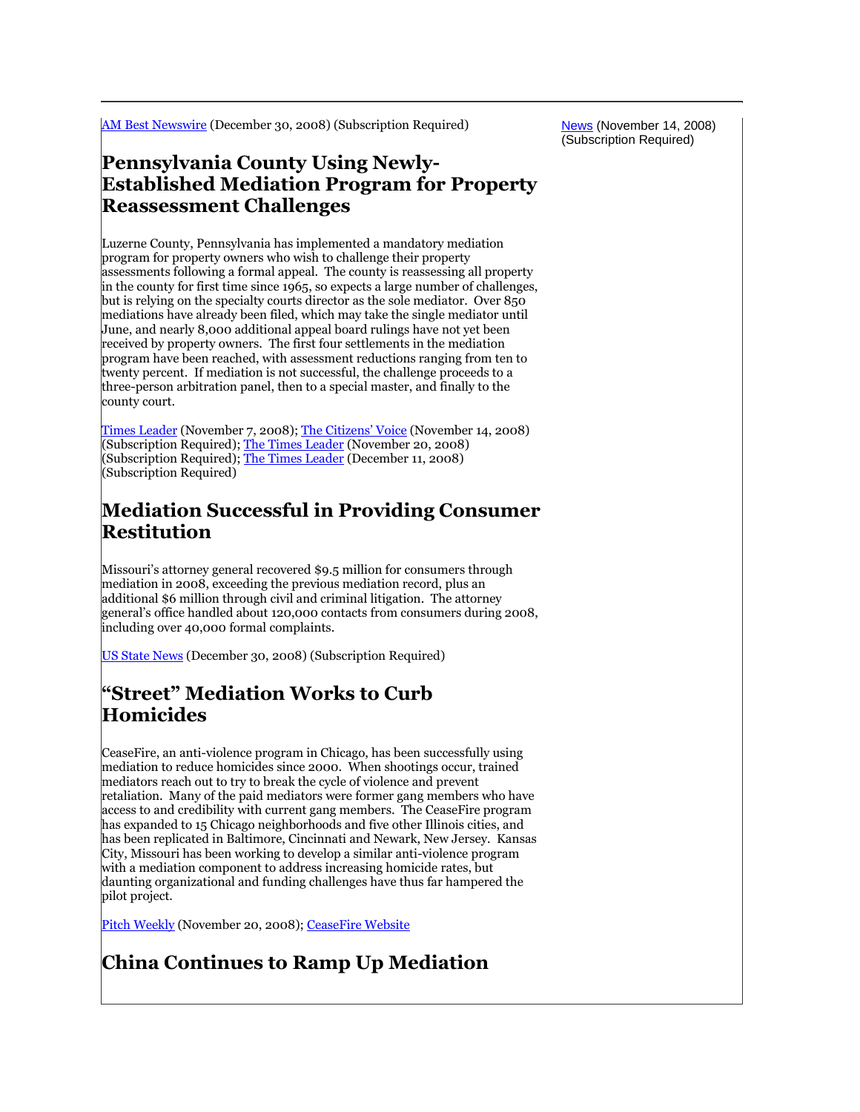[AM Best Newswire](http://tinyurl.com/8aqsmz) (December 30, 2008) (Subscription Required)

News (November 14, 2008) (Subscription Required)

#### **Pennsylvania County Using Newly-Established Mediation Program for Property Reassessment Challenges**

Luzerne County, Pennsylvania has implemented a mandatory mediation program for property owners who wish to challenge their property assessments following a formal appeal. The county is reassessing all property in the county for first time since 1965, so expects a large number of challenges, but is relying on the specialty courts director as the sole mediator. Over 850 mediations have already been filed, which may take the single mediator until June, and nearly 8,000 additional appeal board rulings have not yet been received by property owners. The first four settlements in the mediation program have been reached, with assessment reductions ranging from ten to twenty percent. If mediation is not successful, the challenge proceeds to a three-person arbitration panel, then to a special master, and finally to the county court.

[Times Leader](http://tinyurl.com/9wvsa2) (November 7, 2008); [The Citizens' Voice](http://tinyurl.com/5uaexx) (November 14, 2008) (Subscription Required)[; The Times Leader](http://tinyurl.com/5k54qr) (November 20, 2008) (Subscription Required)[; The Times Leader](http://tinyurl.com/7xcd8o) (December 11, 2008) (Subscription Required)

#### **Mediation Successful in Providing Consumer Restitution**

Missouri's attorney general recovered \$9.5 million for consumers through mediation in 2008, exceeding the previous mediation record, plus an additional \$6 million through civil and criminal litigation. The attorney general's office handled about 120,000 contacts from consumers during 2008, including over 40,000 formal complaints.

[US State News](http://tinyurl.com/9byvj9) (December 30, 2008) (Subscription Required)

#### **"Street" Mediation Works to Curb Homicides**

CeaseFire, an anti-violence program in Chicago, has been successfully using mediation to reduce homicides since 2000. When shootings occur, trained mediators reach out to try to break the cycle of violence and prevent retaliation. Many of the paid mediators were former gang members who have access to and credibility with current gang members. The CeaseFire program has expanded to 15 Chicago neighborhoods and five other Illinois cities, and has been replicated in Baltimore, Cincinnati and Newark, New Jersey. Kansas City, Missouri has been working to develop a similar anti-violence program with a mediation component to address increasing homicide rates, but daunting organizational and funding challenges have thus far hampered the pilot project.

[Pitch Weekly](http://www.pitch.com/2008-11-20/news/117-homicides-and-counting/1) (November 20, 2008)[; CeaseFire Website](http://www.ceasefirechicago.org/)

## **China Continues to Ramp Up Mediation**